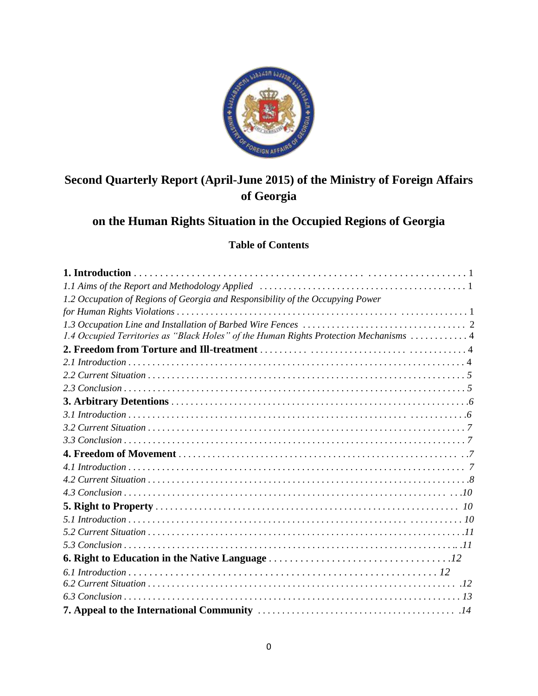

# **Second Quarterly Report (April-June 2015) of the Ministry of Foreign Affairs of Georgia**

# **on the Human Rights Situation in the Occupied Regions of Georgia**

# **Table of Contents**

| 1.2 Occupation of Regions of Georgia and Responsibility of the Occupying Power         |
|----------------------------------------------------------------------------------------|
|                                                                                        |
| 1.4 Occupied Territories as "Black Holes" of the Human Rights Protection Mechanisms  4 |
|                                                                                        |
|                                                                                        |
|                                                                                        |
|                                                                                        |
|                                                                                        |
|                                                                                        |
|                                                                                        |
|                                                                                        |
|                                                                                        |
|                                                                                        |
|                                                                                        |
|                                                                                        |
|                                                                                        |
|                                                                                        |
|                                                                                        |
|                                                                                        |
|                                                                                        |
|                                                                                        |
|                                                                                        |
|                                                                                        |
|                                                                                        |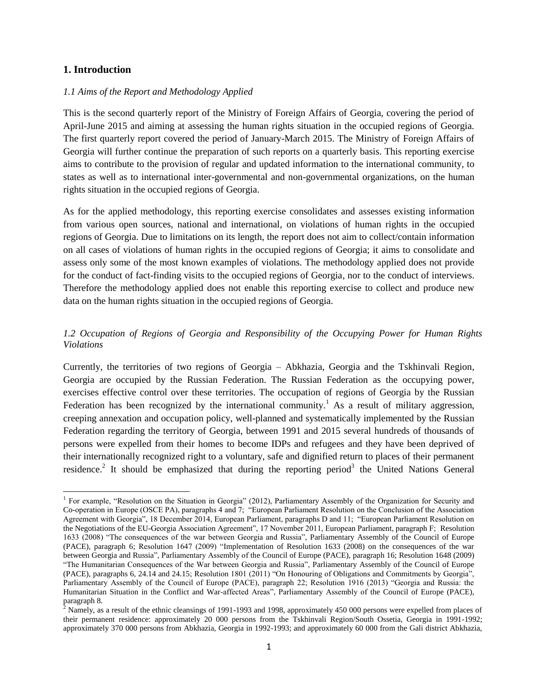# **1. Introduction**

 $\overline{a}$ 

# *1.1 Aims of the Report and Methodology Applied*

This is the second quarterly report of the Ministry of Foreign Affairs of Georgia, covering the period of April-June 2015 and aiming at assessing the human rights situation in the occupied regions of Georgia. The first quarterly report covered the period of January-March 2015. The Ministry of Foreign Affairs of Georgia will further continue the preparation of such reports on a quarterly basis. This reporting exercise aims to contribute to the provision of regular and updated information to the international community, to states as well as to international inter-governmental and non-governmental organizations, on the human rights situation in the occupied regions of Georgia.

As for the applied methodology, this reporting exercise consolidates and assesses existing information from various open sources, national and international, on violations of human rights in the occupied regions of Georgia. Due to limitations on its length, the report does not aim to collect/contain information on all cases of violations of human rights in the occupied regions of Georgia; it aims to consolidate and assess only some of the most known examples of violations. The methodology applied does not provide for the conduct of fact-finding visits to the occupied regions of Georgia, nor to the conduct of interviews. Therefore the methodology applied does not enable this reporting exercise to collect and produce new data on the human rights situation in the occupied regions of Georgia.

# *1.2 Occupation of Regions of Georgia and Responsibility of the Occupying Power for Human Rights Violations*

Currently, the territories of two regions of Georgia – Abkhazia, Georgia and the Tskhinvali Region, Georgia are occupied by the Russian Federation. The Russian Federation as the occupying power, exercises effective control over these territories. The occupation of regions of Georgia by the Russian Federation has been recognized by the international community.<sup>1</sup> As a result of military aggression, creeping annexation and occupation policy, well-planned and systematically implemented by the Russian Federation regarding the territory of Georgia, between 1991 and 2015 several hundreds of thousands of persons were expelled from their homes to become IDPs and refugees and they have been deprived of their internationally recognized right to a voluntary, safe and dignified return to places of their permanent residence.<sup>2</sup> It should be emphasized that during the reporting period<sup>3</sup> the United Nations General

<sup>&</sup>lt;sup>1</sup> For example, "Resolution on the Situation in Georgia" (2012), Parliamentary Assembly of the Organization for Security and Co-operation in Europe (OSCE PA), paragraphs 4 and 7; "European Parliament Resolution on the Conclusion of the Association Agreement with Georgia", 18 December 2014, European Parliament, paragraphs D and 11; "European Parliament Resolution on the Negotiations of the EU-Georgia Association Agreement", 17 November 2011, European Parliament, paragraph F; Resolution 1633 (2008) "The consequences of the war between Georgia and Russia", Parliamentary Assembly of the Council of Europe (PACE), paragraph 6; Resolution 1647 (2009) "Implementation of Resolution 1633 (2008) on the consequences of the war between Georgia and Russia", Parliamentary Assembly of the Council of Europe (PACE), paragraph 16; Resolution 1648 (2009) "The Humanitarian Consequences of the War between Georgia and Russia", Parliamentary Assembly of the Council of Europe (PACE), paragraphs 6, 24.14 and 24.15; Resolution 1801 (2011) "On Honouring of Obligations and Commitments by Georgia", Parliamentary Assembly of the Council of Europe (PACE), paragraph 22; Resolution 1916 (2013) "Georgia and Russia: the Humanitarian Situation in the Conflict and War-affected Areas", Parliamentary Assembly of the Council of Europe (PACE), paragraph 8.

<sup>&</sup>lt;sup>2</sup> Namely, as a result of the ethnic cleansings of 1991-1993 and 1998, approximately 450 000 persons were expelled from places of their permanent residence: approximately 20 000 persons from the Tskhinvali Region/South Ossetia, Georgia in 1991-1992; approximately 370 000 persons from Abkhazia, Georgia in 1992-1993; and approximately 60 000 from the Gali district Abkhazia,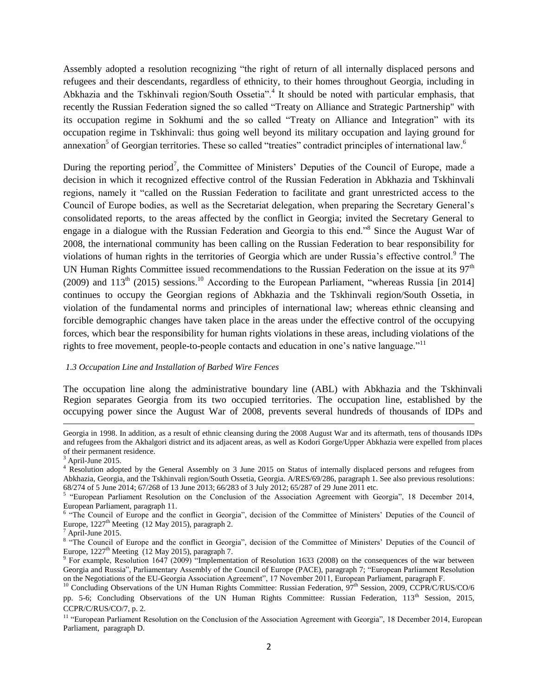Assembly adopted a resolution recognizing "the right of return of all internally displaced persons and refugees and their descendants, regardless of ethnicity, to their homes throughout Georgia, including in Abkhazia and the Tskhinvali region/South Ossetia".<sup>4</sup> It should be noted with particular emphasis, that recently the Russian Federation signed the so called "Treaty on Alliance and Strategic Partnership" with its occupation regime in Sokhumi and the so called "Treaty on Alliance and Integration" with its occupation regime in Tskhinvali: thus going well beyond its military occupation and laying ground for annexation<sup>5</sup> of Georgian territories. These so called "treaties" contradict principles of international law.<sup>6</sup>

During the reporting period<sup>7</sup>, the Committee of Ministers' Deputies of the Council of Europe, made a decision in which it recognized effective control of the Russian Federation in Abkhazia and Tskhinvali regions, namely it "called on the Russian Federation to facilitate and grant unrestricted access to the Council of Europe bodies, as well as the Secretariat delegation, when preparing the Secretary General's consolidated reports, to the areas affected by the conflict in Georgia; invited the Secretary General to engage in a dialogue with the Russian Federation and Georgia to this end."<sup>8</sup> Since the August War of 2008, the international community has been calling on the Russian Federation to bear responsibility for violations of human rights in the territories of Georgia which are under Russia's effective control.<sup>9</sup> The UN Human Rights Committee issued recommendations to the Russian Federation on the issue at its  $97<sup>th</sup>$ (2009) and  $113<sup>th</sup>$  (2015) sessions.<sup>10</sup> According to the European Parliament, "whereas Russia [in 2014] continues to occupy the Georgian regions of Abkhazia and the Tskhinvali region/South Ossetia, in violation of the fundamental norms and principles of international law; whereas ethnic cleansing and forcible demographic changes have taken place in the areas under the effective control of the occupying forces, which bear the responsibility for human rights violations in these areas, including violations of the rights to free movement, people-to-people contacts and education in one's native language."<sup>11</sup>

#### *1.3 Occupation Line and Installation of Barbed Wire Fences*

The occupation line along the administrative boundary line (ABL) with Abkhazia and the Tskhinvali Region separates Georgia from its two occupied territories. The occupation line, established by the occupying power since the August War of 2008, prevents several hundreds of thousands of IDPs and

Georgia in 1998. In addition, as a result of ethnic cleansing during the 2008 August War and its aftermath, tens of thousands IDPs and refugees from the Akhalgori district and its adjacent areas, as well as Kodori Gorge/Upper Abkhazia were expelled from places of their permanent residence.

 $3$  April-June 2015.

<sup>&</sup>lt;sup>4</sup> Resolution adopted by the General Assembly on 3 June 2015 on Status of internally displaced persons and refugees from Abkhazia, Georgia, and the Tskhinvali region/South Ossetia, Georgia. A/RES/69/286, paragraph 1. See also previous resolutions: 68/274 of 5 June 2014; 67/268 of 13 June 2013; 66/283 of 3 July 2012; 65/287 of 29 June 2011 etc.

<sup>&</sup>lt;sup>5</sup> "European Parliament Resolution on the Conclusion of the Association Agreement with Georgia", 18 December 2014, European Parliament, paragraph 11.<br><sup>6</sup> "The Council of Europe and the conflict in Georgia", decision of the Committee of Ministers' Deputies of the Council of

Europe,  $1227<sup>th</sup>$  Meeting (12 May 2015), paragraph 2.

 $7$  April-June 2015.

<sup>&</sup>lt;sup>8</sup> "The Council of Europe and the conflict in Georgia", decision of the Committee of Ministers' Deputies of the Council of Europe, 1227<sup>th</sup> Meeting (12 May 2015), paragraph 7.

<sup>&</sup>lt;sup>9</sup> For example, Resolution 1647 (2009) "Implementation of Resolution 1633 (2008) on the consequences of the war between Georgia and Russia", Parliamentary Assembly of the Council of Europe (PACE), paragraph 7; "European Parliament Resolution on the Negotiations of the EU-Georgia Association Agreement", 17 November 2011, European Parliament, paragraph F.

<sup>&</sup>lt;sup>10</sup> Concluding Observations of the UN Human Rights Committee: Russian Federation,  $97<sup>th</sup>$  Session, 2009, CCPR/C/RUS/CO/6 pp. 5-6; Concluding Observations of the UN Human Rights Committee: Russian Federation, 113<sup>th</sup> Session, 2015, CCPR/C/RUS/CO/7, p. 2.

<sup>&</sup>lt;sup>11</sup> "European Parliament Resolution on the Conclusion of the Association Agreement with Georgia", 18 December 2014, European Parliament, paragraph D.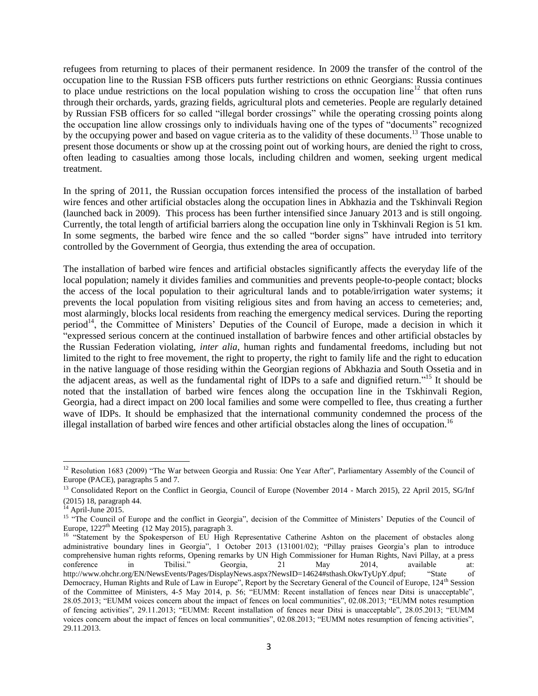refugees from returning to places of their permanent residence. In 2009 the transfer of the control of the occupation line to the Russian FSB officers puts further restrictions on ethnic Georgians: Russia continues to place undue restrictions on the local population wishing to cross the occupation line<sup>12</sup> that often runs through their orchards, yards, grazing fields, agricultural plots and cemeteries. People are regularly detained by Russian FSB officers for so called "illegal border crossings" while the operating crossing points along the occupation line allow crossings only to individuals having one of the types of "documents" recognized by the occupying power and based on vague criteria as to the validity of these documents.<sup>13</sup> Those unable to present those documents or show up at the crossing point out of working hours, are denied the right to cross, often leading to casualties among those locals, including children and women, seeking urgent medical treatment.

In the spring of 2011, the Russian occupation forces intensified the process of the installation of barbed wire fences and other artificial obstacles along the occupation lines in Abkhazia and the Tskhinvali Region (launched back in 2009). This process has been further intensified since January 2013 and is still ongoing. Currently, the total length of artificial barriers along the occupation line only in Tskhinvali Region is 51 km. In some segments, the barbed wire fence and the so called "border signs" have intruded into territory controlled by the Government of Georgia, thus extending the area of occupation.

The installation of barbed wire fences and artificial obstacles significantly affects the everyday life of the local population; namely it divides families and communities and prevents people-to-people contact; blocks the access of the local population to their agricultural lands and to potable/irrigation water systems; it prevents the local population from visiting religious sites and from having an access to cemeteries; and, most alarmingly, blocks local residents from reaching the emergency medical services. During the reporting period<sup>14</sup>, the Committee of Ministers' Deputies of the Council of Europe, made a decision in which it "expressed serious concern at the continued installation of barbwire fences and other artificial obstacles by the Russian Federation violating, *inter alia*, human rights and fundamental freedoms, including but not limited to the right to free movement, the right to property, the right to family life and the right to education in the native language of those residing within the Georgian regions of Abkhazia and South Ossetia and in the adjacent areas, as well as the fundamental right of IDPs to a safe and dignified return."<sup>15</sup> It should be noted that the installation of barbed wire fences along the occupation line in the Tskhinvali Region, Georgia, had a direct impact on 200 local families and some were compelled to flee, thus creating a further wave of IDPs. It should be emphasized that the international community condemned the process of the illegal installation of barbed wire fences and other artificial obstacles along the lines of occupation.<sup>16</sup>

<sup>&</sup>lt;sup>12</sup> Resolution 1683 (2009) "The War between Georgia and Russia: One Year After", Parliamentary Assembly of the Council of Europe (PACE), paragraphs 5 and 7.

<sup>&</sup>lt;sup>13</sup> Consolidated Report on the Conflict in Georgia, Council of Europe (November 2014 - March 2015), 22 April 2015, SG/Inf (2015) 18, paragraph 44.

 $14$  April-June 2015.

<sup>&</sup>lt;sup>15</sup> "The Council of Europe and the conflict in Georgia", decision of the Committee of Ministers' Deputies of the Council of Europe,  $1227<sup>th</sup>$  Meeting (12 May 2015), paragraph 3.

<sup>&</sup>lt;sup>16</sup> "Statement by the Spokesperson of EU High Representative Catherine Ashton on the placement of obstacles along administrative boundary lines in Georgia", 1 October 2013 (131001/02); "Pillay praises Georgia's plan to introduce comprehensive human rights reforms, Opening remarks by UN High Commissioner for Human Rights, Navi Pillay, at a press conference in Tbilisi." Georgia, 21 May 2014, available at: conference in Tbilisi." Georgia, 21 May 2014, available at: http://www.ohchr.org/EN/NewsEvents/Pages/DisplayNews.aspx?NewsID=14624#sthash.OkwTyUpY.dpuf; "State of Democracy, Human Rights and Rule of Law in Europe", Report by the Secretary General of the Council of Europe, 124<sup>th</sup> Session of the Committee of Ministers, 4-5 May 2014, p. 56; "EUMM: Recent installation of fences near Ditsi is unacceptable", 28.05.2013; "EUMM voices concern about the impact of fences on local communities", 02.08.2013; "EUMM notes resumption of fencing activities", 29.11.2013; "EUMM: Recent installation of fences near Ditsi is unacceptable", 28.05.2013; "EUMM voices concern about the impact of fences on local communities", 02.08.2013; "EUMM notes resumption of fencing activities", 29.11.2013.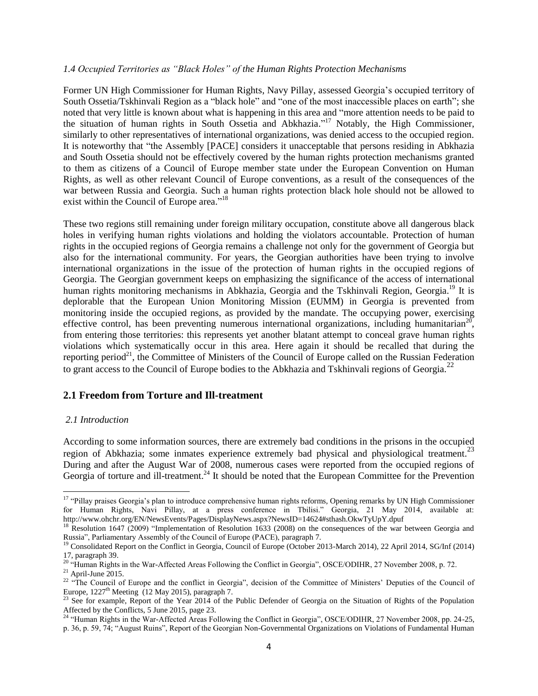#### *1.4 Occupied Territories as "Black Holes" of the Human Rights Protection Mechanisms*

Former UN High Commissioner for Human Rights, Navy Pillay, assessed Georgia's occupied territory of South Ossetia/Tskhinvali Region as a "black hole" and "one of the most inaccessible places on earth"; she noted that very little is known about what is happening in this area and "more attention needs to be paid to the situation of human rights in South Ossetia and Abkhazia." <sup>17</sup> Notably, the High Commissioner, similarly to other representatives of international organizations, was denied access to the occupied region. It is noteworthy that "the Assembly [PACE] considers it unacceptable that persons residing in Abkhazia and South Ossetia should not be effectively covered by the human rights protection mechanisms granted to them as citizens of a Council of Europe member state under the European Convention on Human Rights, as well as other relevant Council of Europe conventions, as a result of the consequences of the war between Russia and Georgia. Such a human rights protection black hole should not be allowed to exist within the Council of Europe area."<sup>18</sup>

These two regions still remaining under foreign military occupation, constitute above all dangerous black holes in verifying human rights violations and holding the violators accountable. Protection of human rights in the occupied regions of Georgia remains a challenge not only for the government of Georgia but also for the international community. For years, the Georgian authorities have been trying to involve international organizations in the issue of the protection of human rights in the occupied regions of Georgia. The Georgian government keeps on emphasizing the significance of the access of international human rights monitoring mechanisms in Abkhazia, Georgia and the Tskhinvali Region, Georgia.<sup>19</sup> It is deplorable that the European Union Monitoring Mission (EUMM) in Georgia is prevented from monitoring inside the occupied regions, as provided by the mandate. The occupying power, exercising effective control, has been preventing numerous international organizations, including humanitarian<sup>20</sup>, from entering those territories: this represents yet another blatant attempt to conceal grave human rights violations which systematically occur in this area. Here again it should be recalled that during the reporting period<sup>21</sup>, the Committee of Ministers of the Council of Europe called on the Russian Federation to grant access to the Council of Europe bodies to the Abkhazia and Tskhinvali regions of Georgia.<sup>22</sup>

#### **2.1 Freedom from Torture and Ill-treatment**

#### *2.1 Introduction*

According to some information sources, there are extremely bad conditions in the prisons in the occupied region of Abkhazia; some inmates experience extremely bad physical and physiological treatment.<sup>23</sup> During and after the August War of 2008, numerous cases were reported from the occupied regions of Georgia of torture and ill-treatment.<sup>24</sup> It should be noted that the European Committee for the Prevention

 $\overline{a}$ 

 $17$  "Pillay praises Georgia's plan to introduce comprehensive human rights reforms, Opening remarks by UN High Commissioner for Human Rights, Navi Pillay, at a press conference in Tbilisi." Georgia, 21 May 2014, available at: http://www.ohchr.org/EN/NewsEvents/Pages/DisplayNews.aspx?NewsID=14624#sthash.OkwTyUpY.dpuf

<sup>&</sup>lt;sup>18</sup> Resolution 1647 (2009) "Implementation of Resolution 1633 (2008) on the consequences of the war between Georgia and Russia", Parliamentary Assembly of the Council of Europe (PACE), paragraph 7.

<sup>&</sup>lt;sup>19</sup> Consolidated Report on the Conflict in Georgia, Council of Europe (October 2013-March 2014), 22 April 2014, SG/Inf (2014) 17, paragraph 39.

<sup>&</sup>lt;sup>20</sup> "Human Rights in the War-Affected Areas Following the Conflict in Georgia", OSCE/ODIHR, 27 November 2008, p. 72.

 $21$  April-June 2015.

<sup>&</sup>lt;sup>22</sup> "The Council of Europe and the conflict in Georgia", decision of the Committee of Ministers' Deputies of the Council of Europe,  $1227<sup>th</sup>$  Meeting (12 May 2015), paragraph 7.

<sup>&</sup>lt;sup>23</sup> See for example, Report of the Year 2014 of the Public Defender of Georgia on the Situation of Rights of the Population Affected by the Conflicts, 5 June 2015, page 23.

 $^{24}$  "Human Rights in the War-Affected Areas Following the Conflict in Georgia", OSCE/ODIHR, 27 November 2008, pp. 24-25,

p. 36, p. 59, 74; "August Ruins", Report of the Georgian Non-Governmental Organizations on Violations of Fundamental Human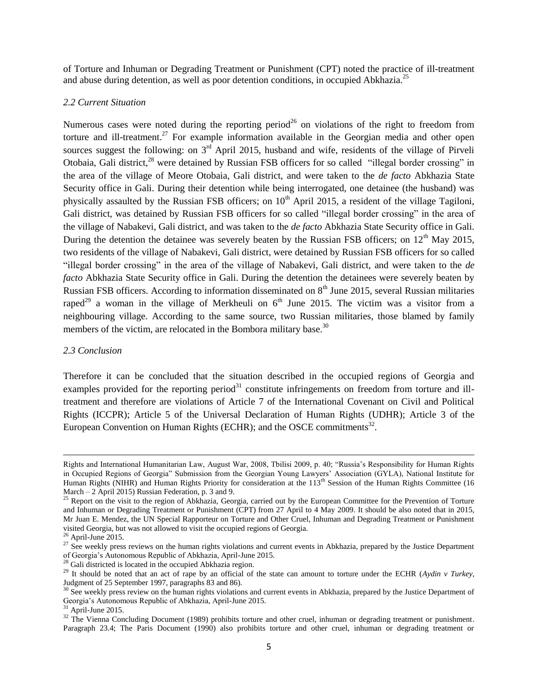of Torture and Inhuman or Degrading Treatment or Punishment (CPT) noted the practice of ill-treatment and abuse during detention, as well as poor detention conditions, in occupied Abkhazia.<sup>25</sup>

#### *2.2 Current Situation*

Numerous cases were noted during the reporting period<sup>26</sup> on violations of the right to freedom from torture and ill-treatment.<sup>27</sup> For example information available in the Georgian media and other open sources suggest the following: on  $3<sup>rd</sup>$  April 2015, husband and wife, residents of the village of Pirveli Otobaia, Gali district,<sup>28</sup> were detained by Russian FSB officers for so called "illegal border crossing" in the area of the village of Meore Otobaia, Gali district, and were taken to the *de facto* Abkhazia State Security office in Gali. During their detention while being interrogated, one detainee (the husband) was physically assaulted by the Russian FSB officers; on  $10<sup>th</sup>$  April 2015, a resident of the village Tagiloni, Gali district, was detained by Russian FSB officers for so called "illegal border crossing" in the area of the village of Nabakevi, Gali district, and was taken to the *de facto* Abkhazia State Security office in Gali. During the detention the detainee was severely beaten by the Russian FSB officers; on  $12<sup>th</sup>$  May 2015, two residents of the village of Nabakevi, Gali district, were detained by Russian FSB officers for so called "illegal border crossing" in the area of the village of Nabakevi, Gali district, and were taken to the *de facto* Abkhazia State Security office in Gali. During the detention the detainees were severely beaten by Russian FSB officers. According to information disseminated on  $8<sup>th</sup>$  June 2015, several Russian militaries raped<sup>29</sup> a woman in the village of Merkheuli on  $6<sup>th</sup>$  June 2015. The victim was a visitor from a neighbouring village. According to the same source, two Russian militaries, those blamed by family members of the victim, are relocated in the Bombora military base.<sup>30</sup>

#### *2.3 Conclusion*

Therefore it can be concluded that the situation described in the occupied regions of Georgia and examples provided for the reporting period $31$  constitute infringements on freedom from torture and illtreatment and therefore are violations of Article 7 of the International Covenant on Civil and Political Rights (ICCPR); Article 5 of the Universal Declaration of Human Rights (UDHR); Article 3 of the European Convention on Human Rights (ECHR); and the OSCE commitments<sup>32</sup>.

 $\overline{\phantom{a}}$ 

 $28$  Gali districted is located in the occupied Abkhazia region.

Rights and International Humanitarian Law, August War, 2008, Tbilisi 2009, p. 40; "Russia's Responsibility for Human Rights in Occupied Regions of Georgia" Submission from the Georgian Young Lawyers' Association (GYLA), National Institute for Human Rights (NIHR) and Human Rights Priority for consideration at the 113<sup>th</sup> Session of the Human Rights Committee (16 March – 2 April 2015) Russian Federation, p. 3 and 9.

<sup>&</sup>lt;sup>25</sup> Report on the visit to the region of Abkhazia, [Georgia,](http://www.cpt.coe.int/en/states/geo.htm) carried out by the European Committee for the Prevention of Torture and Inhuman or Degrading Treatment or Punishment (CPT) from 27 April to 4 May 2009. It should be also noted that in 2015, Mr Juan E. Mendez, the UN Special Rapporteur on Torture and Other Cruel, Inhuman and Degrading Treatment or Punishment visited Georgia, but was not allowed to visit the occupied regions of Georgia.

<sup>26</sup> April-June 2015.

 $27$  See weekly press reviews on the human rights violations and current events in Abkhazia, prepared by the Justice Department of Georgia's Autonomous Republic of Abkhazia, April-June 2015.

<sup>&</sup>lt;sup>29</sup> It should be noted that an act of rape by an official of the state can amount to torture under the ECHR (*Aydin v Turkey*, Judgment of 25 September 1997, paragraphs 83 and 86).

 $30$  See weekly press review on the human rights violations and current events in Abkhazia, prepared by the Justice Department of Georgia's Autonomous Republic of Abkhazia, April-June 2015.<br>
<sup>31</sup> April Inne 2015.

 $31$  April-June 2015.

 $32$  The Vienna Concluding Document (1989) prohibits torture and other cruel, inhuman or degrading treatment or punishment. Paragraph 23.4; The Paris Document (1990) also prohibits torture and other cruel, inhuman or degrading treatment or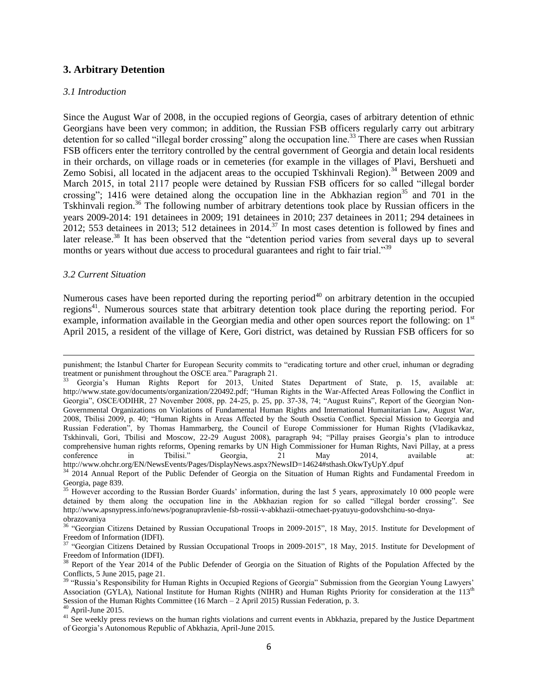# **3. Arbitrary Detention**

#### *3.1 Introduction*

Since the August War of 2008, in the occupied regions of Georgia, cases of arbitrary detention of ethnic Georgians have been very common; in addition, the Russian FSB officers regularly carry out arbitrary detention for so called "illegal border crossing" along the occupation line.<sup>33</sup> There are cases when Russian FSB officers enter the territory controlled by the central government of Georgia and detain local residents in their orchards, on village roads or in cemeteries (for example in the villages of Plavi, Bershueti and Zemo Sobisi, all located in the adjacent areas to the occupied Tskhinvali Region).<sup>34</sup> Between 2009 and March 2015, in total 2117 people were detained by Russian FSB officers for so called "illegal border crossing"; 1416 were detained along the occupation line in the Abkhazian region<sup>35</sup> and 701 in the Tskhinvali region.<sup>36</sup> The following number of arbitrary detentions took place by Russian officers in the years 2009-2014: 191 detainees in 2009; 191 detainees in 2010; 237 detainees in 2011; 294 detainees in 2012; 553 detainees in 2013; 512 detainees in 2014.<sup>37</sup> In most cases detention is followed by fines and later release.<sup>38</sup> It has been observed that the "detention period varies from several days up to several months or years without due access to procedural guarantees and right to fair trial."<sup>39</sup>

#### *3.2 Current Situation*

l

Numerous cases have been reported during the reporting period<sup>40</sup> on arbitrary detention in the occupied regions<sup>41</sup>. Numerous sources state that arbitrary detention took place during the reporting period. For example, information available in the Georgian media and other open sources report the following: on  $1<sup>st</sup>$ April 2015, a resident of the village of Kere, Gori district, was detained by Russian FSB officers for so

http://www.ohchr.org/EN/NewsEvents/Pages/DisplayNews.aspx?NewsID=14624#sthash.OkwTyUpY.dpuf

punishment; the Istanbul Charter for European Security commits to "eradicating torture and other cruel, inhuman or degrading treatment or punishment throughout the OSCE area." Paragraph 21.

<sup>33</sup> Georgia's Human Rights Report for 2013, United States Department of State, p. 15, available at: [http://www.state.gov/documents/organization/220492.pdf;](http://www.state.gov/documents/organization/220492.pdf) "Human Rights in the War-Affected Areas Following the Conflict in Georgia", OSCE/ODIHR, 27 November 2008, pp. 24-25, p. 25, pp. 37-38, 74; "August Ruins", Report of the Georgian Non-Governmental Organizations on Violations of Fundamental Human Rights and International Humanitarian Law, August War, 2008, Tbilisi 2009, p. 40; "Human Rights in Areas Affected by the South Ossetia Conflict. Special Mission to Georgia and Russian Federation", by Thomas Hammarberg, the Council of Europe Commissioner for Human Rights (Vladikavkaz, Tskhinvali, Gori, Tbilisi and Moscow, 22-29 August 2008), paragraph 94; "Pillay praises Georgia's plan to introduce comprehensive human rights reforms, Opening remarks by UN High Commissioner for Human Rights, Navi Pillay, at a press conference in Tbilisi." Georgia, 21 May 2014, available at:

<sup>34</sup> 2014 Annual Report of the Public Defender of Georgia on the Situation of Human Rights and Fundamental Freedom in Georgia, page 839.

<sup>&</sup>lt;sup>35</sup> However according to the Russian Border Guards' information, during the last 5 years, approximately 10 000 people were detained by them along the occupation line in the Abkhazian region for so called "illegal border crossing". See http://www.apsnypress.info/news/pogranupravlenie-fsb-rossii-v-abkhazii-otmechaet-pyatuyu-godovshchinu-so-dnyaobrazovaniya

<sup>&</sup>lt;sup>36</sup> "Georgian Citizens Detained by Russian Occupational Troops in 2009-2015", 18 May, 2015. Institute for Development of Freedom of Information (IDFI).

<sup>&</sup>lt;sup>37</sup> "Georgian Citizens Detained by Russian Occupational Troops in 2009-2015", 18 May, 2015. Institute for Development of Freedom of Information (IDFI).

<sup>&</sup>lt;sup>38</sup> Report of the Year 2014 of the Public Defender of Georgia on the Situation of Rights of the Population Affected by the Conflicts, 5 June 2015, page 21.

<sup>&</sup>lt;sup>39</sup> "Russia's Responsibility for Human Rights in Occupied Regions of Georgia" Submission from the Georgian Young Lawyers' Association (GYLA), National Institute for Human Rights (NIHR) and Human Rights Priority for consideration at the  $113<sup>th</sup>$ Session of the Human Rights Committee (16 March – 2 April 2015) Russian Federation, p. 3.

 $40$  April-June 2015.

<sup>&</sup>lt;sup>41</sup> See weekly press reviews on the human rights violations and current events in Abkhazia, prepared by the Justice Department of Georgia's Autonomous Republic of Abkhazia, April-June 2015.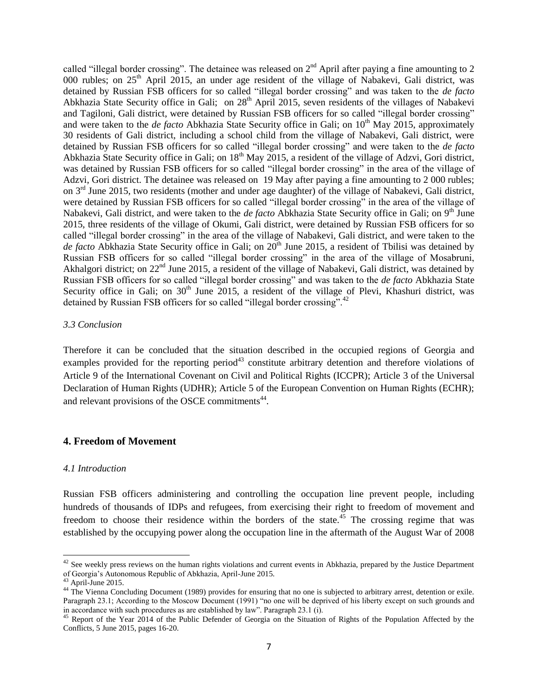called "illegal border crossing". The detainee was released on  $2<sup>nd</sup>$  April after paying a fine amounting to 2 000 rubles; on  $25<sup>th</sup>$  April 2015, an under age resident of the village of Nabakevi, Gali district, was detained by Russian FSB officers for so called "illegal border crossing" and was taken to the *de facto* Abkhazia State Security office in Gali; on 28<sup>th</sup> April 2015, seven residents of the villages of Nabakevi and Tagiloni, Gali district, were detained by Russian FSB officers for so called "illegal border crossing" and were taken to the *de facto* Abkhazia State Security office in Gali; on 10<sup>th</sup> May 2015, approximately 30 residents of Gali district, including a school child from the village of Nabakevi, Gali district, were detained by Russian FSB officers for so called "illegal border crossing" and were taken to the *de facto* Abkhazia State Security office in Gali; on 18<sup>th</sup> May 2015, a resident of the village of Adzvi, Gori district, was detained by Russian FSB officers for so called "illegal border crossing" in the area of the village of Adzvi, Gori district. The detainee was released on 19 May after paying a fine amounting to 2 000 rubles; on 3<sup>rd</sup> June 2015, two residents (mother and under age daughter) of the village of Nabakevi, Gali district, were detained by Russian FSB officers for so called "illegal border crossing" in the area of the village of Nabakevi, Gali district, and were taken to the *de facto* Abkhazia State Security office in Gali; on 9<sup>th</sup> June 2015, three residents of the village of Okumi, Gali district, were detained by Russian FSB officers for so called "illegal border crossing" in the area of the village of Nabakevi, Gali district, and were taken to the *de facto* Abkhazia State Security office in Gali; on 20<sup>th</sup> June 2015, a resident of Tbilisi was detained by Russian FSB officers for so called "illegal border crossing" in the area of the village of Mosabruni, Akhalgori district; on  $22<sup>nd</sup>$  June 2015, a resident of the village of Nabakevi, Gali district, was detained by Russian FSB officers for so called "illegal border crossing" and was taken to the *de facto* Abkhazia State Security office in Gali; on 30<sup>th</sup> June 2015, a resident of the village of Plevi, Khashuri district, was detained by Russian FSB officers for so called "illegal border crossing".<sup>42</sup>

#### *3.3 Conclusion*

Therefore it can be concluded that the situation described in the occupied regions of Georgia and examples provided for the reporting period<sup>43</sup> constitute arbitrary detention and therefore violations of Article 9 of the International Covenant on Civil and Political Rights (ICCPR); Article 3 of the Universal Declaration of Human Rights (UDHR); Article 5 of the European Convention on Human Rights (ECHR); and relevant provisions of the OSCE commitments<sup>44</sup>.

#### **4. Freedom of Movement**

#### *4.1 Introduction*

Russian FSB officers administering and controlling the occupation line prevent people, including hundreds of thousands of IDPs and refugees, from exercising their right to freedom of movement and freedom to choose their residence within the borders of the state.<sup>45</sup> The crossing regime that was established by the occupying power along the occupation line in the aftermath of the August War of 2008

 $42$  See weekly press reviews on the human rights violations and current events in Abkhazia, prepared by the Justice Department of Georgia's Autonomous Republic of Abkhazia, April-June 2015.

 $43$  April-June 2015.

<sup>44</sup> The Vienna Concluding Document (1989) provides for ensuring that no one is subjected to arbitrary arrest, detention or exile. Paragraph 23.1; According to the Moscow Document (1991) "no one will be deprived of his liberty except on such grounds and in accordance with such procedures as are established by law". Paragraph 23.1 (i).

<sup>&</sup>lt;sup>45</sup> Report of the Year 2014 of the Public Defender of Georgia on the Situation of Rights of the Population Affected by the Conflicts, 5 June 2015, pages 16-20.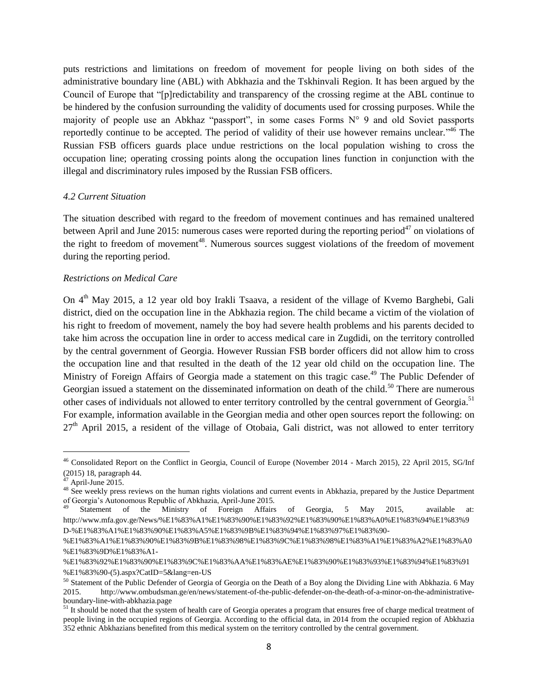puts restrictions and limitations on freedom of movement for people living on both sides of the administrative boundary line (ABL) with Abkhazia and the Tskhinvali Region. It has been argued by the Council of Europe that "[p]redictability and transparency of the crossing regime at the ABL continue to be hindered by the confusion surrounding the validity of documents used for crossing purposes. While the majority of people use an Abkhaz "passport", in some cases Forms N° 9 and old Soviet passports reportedly continue to be accepted. The period of validity of their use however remains unclear."<sup>46</sup> The Russian FSB officers guards place undue restrictions on the local population wishing to cross the occupation line; operating crossing points along the occupation lines function in conjunction with the illegal and discriminatory rules imposed by the Russian FSB officers.

## *4.2 Current Situation*

The situation described with regard to the freedom of movement continues and has remained unaltered between April and June 2015: numerous cases were reported during the reporting period<sup>47</sup> on violations of the right to freedom of movement<sup>48</sup>. Numerous sources suggest violations of the freedom of movement during the reporting period.

## *Restrictions on Medical Care*

On 4<sup>th</sup> May 2015, a 12 year old boy Irakli Tsaava, a resident of the village of Kvemo Barghebi, Gali district, died on the occupation line in the Abkhazia region. The child became a victim of the violation of his right to freedom of movement, namely the boy had severe health problems and his parents decided to take him across the occupation line in order to access medical care in Zugdidi, on the territory controlled by the central government of Georgia. However Russian FSB border officers did not allow him to cross the occupation line and that resulted in the death of the 12 year old child on the occupation line. The Ministry of Foreign Affairs of Georgia made a statement on this tragic case.<sup>49</sup> The Public Defender of Georgian issued a statement on the disseminated information on death of the child.<sup>50</sup> There are numerous other cases of individuals not allowed to enter territory controlled by the central government of Georgia.<sup>51</sup> For example, information available in the Georgian media and other open sources report the following: on  $27<sup>th</sup>$  April 2015, a resident of the village of Otobaia, Gali district, was not allowed to enter territory

<sup>46</sup> Consolidated Report on the Conflict in Georgia, Council of Europe (November 2014 - March 2015), 22 April 2015, SG/Inf  $(2015)$  18, paragraph 44.

 $47$  April-June 2015.

 $48$  See weekly press reviews on the human rights violations and current events in Abkhazia, prepared by the Justice Department of Georgia's Autonomous Republic of Abkhazia, April-June 2015.

Statement of the Ministry of Foreign Affairs of Georgia, 5 May 2015, available at: [http://www.mfa.gov.ge/News/%E1%83%A1%E1%83%90%E1%83%92%E1%83%90%E1%83%A0%E1%83%94%E1%83%9](http://www.mfa.gov.ge/News/%E1%83%A1%E1%83%90%E1%83%92%E1%83%90%E1%83%A0%E1%83%94%E1%83%9D-%E1%83%A1%E1%83%90%E1%83%A5%E1%83%9B%E1%83%94%E1%83%97%E1%83%90-%E1%83%A1%E1%83%90%E1%83%9B%E1%83%98%E1%83%9C%E1%83%98%E1%83%A1%E1%83%A2%E1%83%A0%E1%83%9D%E1%83%A1-%E1%83%92%E1%83%90%E1%83%9C%E1%83%AA%E1%83%AE%E1%83%90%E1%83%93%E1%83%94%E1%83%91%E1%83%90-(5).aspx?CatID=5&lang=en-US) [D-%E1%83%A1%E1%83%90%E1%83%A5%E1%83%9B%E1%83%94%E1%83%97%E1%83%90-](http://www.mfa.gov.ge/News/%E1%83%A1%E1%83%90%E1%83%92%E1%83%90%E1%83%A0%E1%83%94%E1%83%9D-%E1%83%A1%E1%83%90%E1%83%A5%E1%83%9B%E1%83%94%E1%83%97%E1%83%90-%E1%83%A1%E1%83%90%E1%83%9B%E1%83%98%E1%83%9C%E1%83%98%E1%83%A1%E1%83%A2%E1%83%A0%E1%83%9D%E1%83%A1-%E1%83%92%E1%83%90%E1%83%9C%E1%83%AA%E1%83%AE%E1%83%90%E1%83%93%E1%83%94%E1%83%91%E1%83%90-(5).aspx?CatID=5&lang=en-US)

[<sup>%</sup>E1%83%A1%E1%83%90%E1%83%9B%E1%83%98%E1%83%9C%E1%83%98%E1%83%A1%E1%83%A2%E1%83%A0](http://www.mfa.gov.ge/News/%E1%83%A1%E1%83%90%E1%83%92%E1%83%90%E1%83%A0%E1%83%94%E1%83%9D-%E1%83%A1%E1%83%90%E1%83%A5%E1%83%9B%E1%83%94%E1%83%97%E1%83%90-%E1%83%A1%E1%83%90%E1%83%9B%E1%83%98%E1%83%9C%E1%83%98%E1%83%A1%E1%83%A2%E1%83%A0%E1%83%9D%E1%83%A1-%E1%83%92%E1%83%90%E1%83%9C%E1%83%AA%E1%83%AE%E1%83%90%E1%83%93%E1%83%94%E1%83%91%E1%83%90-(5).aspx?CatID=5&lang=en-US) [%E1%83%9D%E1%83%A1-](http://www.mfa.gov.ge/News/%E1%83%A1%E1%83%90%E1%83%92%E1%83%90%E1%83%A0%E1%83%94%E1%83%9D-%E1%83%A1%E1%83%90%E1%83%A5%E1%83%9B%E1%83%94%E1%83%97%E1%83%90-%E1%83%A1%E1%83%90%E1%83%9B%E1%83%98%E1%83%9C%E1%83%98%E1%83%A1%E1%83%A2%E1%83%A0%E1%83%9D%E1%83%A1-%E1%83%92%E1%83%90%E1%83%9C%E1%83%AA%E1%83%AE%E1%83%90%E1%83%93%E1%83%94%E1%83%91%E1%83%90-(5).aspx?CatID=5&lang=en-US)

[<sup>%</sup>E1%83%92%E1%83%90%E1%83%9C%E1%83%AA%E1%83%AE%E1%83%90%E1%83%93%E1%83%94%E1%83%91](http://www.mfa.gov.ge/News/%E1%83%A1%E1%83%90%E1%83%92%E1%83%90%E1%83%A0%E1%83%94%E1%83%9D-%E1%83%A1%E1%83%90%E1%83%A5%E1%83%9B%E1%83%94%E1%83%97%E1%83%90-%E1%83%A1%E1%83%90%E1%83%9B%E1%83%98%E1%83%9C%E1%83%98%E1%83%A1%E1%83%A2%E1%83%A0%E1%83%9D%E1%83%A1-%E1%83%92%E1%83%90%E1%83%9C%E1%83%AA%E1%83%AE%E1%83%90%E1%83%93%E1%83%94%E1%83%91%E1%83%90-(5).aspx?CatID=5&lang=en-US) [%E1%83%90-\(5\).aspx?CatID=5&lang=en-US](http://www.mfa.gov.ge/News/%E1%83%A1%E1%83%90%E1%83%92%E1%83%90%E1%83%A0%E1%83%94%E1%83%9D-%E1%83%A1%E1%83%90%E1%83%A5%E1%83%9B%E1%83%94%E1%83%97%E1%83%90-%E1%83%A1%E1%83%90%E1%83%9B%E1%83%98%E1%83%9C%E1%83%98%E1%83%A1%E1%83%A2%E1%83%A0%E1%83%9D%E1%83%A1-%E1%83%92%E1%83%90%E1%83%9C%E1%83%AA%E1%83%AE%E1%83%90%E1%83%93%E1%83%94%E1%83%91%E1%83%90-(5).aspx?CatID=5&lang=en-US)

<sup>&</sup>lt;sup>50</sup> Statement of the Public Defender of Georgia of Georgia on the Death of a Boy along the Dividing Line with Abkhazia. 6 May 2015. http://www.ombudsman.ge/en/news/statement-of-the-public-defender-on-the-death-of-a-minor-on-the-administrativeboundary-line-with-abkhazia.page

<sup>&</sup>lt;sup>51</sup> It should be noted that the system of health care of Georgia operates a program that ensures free of charge medical treatment of people living in the occupied regions of Georgia. According to the official data, in 2014 from the occupied region of Abkhazia 352 ethnic Abkhazians benefited from this medical system on the territory controlled by the central government.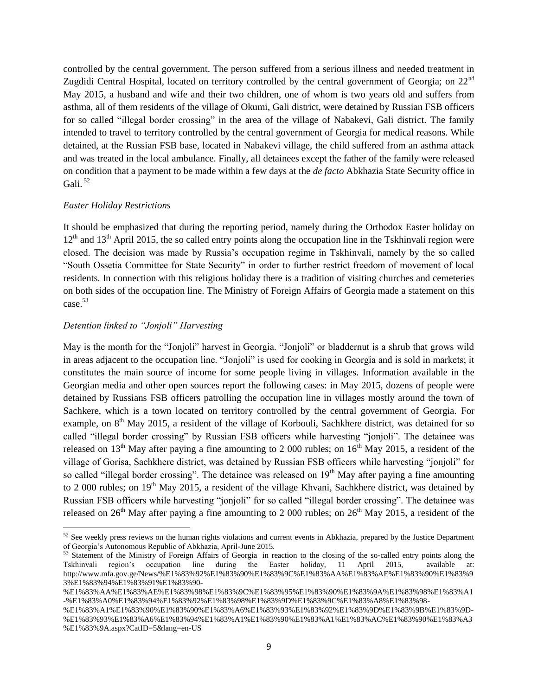controlled by the central government. The person suffered from a serious illness and needed treatment in Zugdidi Central Hospital, located on territory controlled by the central government of Georgia; on 22<sup>nd</sup> May 2015, a husband and wife and their two children, one of whom is two years old and suffers from asthma, all of them residents of the village of Okumi, Gali district, were detained by Russian FSB officers for so called "illegal border crossing" in the area of the village of Nabakevi, Gali district. The family intended to travel to territory controlled by the central government of Georgia for medical reasons. While detained, at the Russian FSB base, located in Nabakevi village, the child suffered from an asthma attack and was treated in the local ambulance. Finally, all detainees except the father of the family were released on condition that a payment to be made within a few days at the *de facto* Abkhazia State Security office in Gali.  $52$ 

## *Easter Holiday Restrictions*

 $\overline{\phantom{a}}$ 

It should be emphasized that during the reporting period, namely during the Orthodox Easter holiday on  $12<sup>th</sup>$  and  $13<sup>th</sup>$  April 2015, the so called entry points along the occupation line in the Tskhinvali region were closed. The decision was made by Russia's occupation regime in Tskhinvali, namely by the so called "South Ossetia Committee for State Security" in order to further restrict freedom of movement of local residents. In connection with this religious holiday there is a tradition of visiting churches and cemeteries on both sides of the occupation line. The Ministry of Foreign Affairs of Georgia made a statement on this case.<sup>53</sup>

## *Detention linked to "Jonjoli" Harvesting*

May is the month for the "Jonjoli" harvest in Georgia. "Jonjoli" or bladdernut is a shrub that grows wild in areas adjacent to the occupation line. "Jonjoli" is used for cooking in Georgia and is sold in markets; it constitutes the main source of income for some people living in villages. Information available in the Georgian media and other open sources report the following cases: in May 2015, dozens of people were detained by Russians FSB officers patrolling the occupation line in villages mostly around the town of Sachkere, which is a town located on territory controlled by the central government of Georgia. For example, on 8<sup>th</sup> May 2015, a resident of the village of Korbouli, Sachkhere district, was detained for so called "illegal border crossing" by Russian FSB officers while harvesting "jonjoli". The detainee was released on 13<sup>th</sup> May after paying a fine amounting to 2 000 rubles; on 16<sup>th</sup> May 2015, a resident of the village of Gorisa, Sachkhere district, was detained by Russian FSB officers while harvesting "jonjoli" for so called "illegal border crossing". The detainee was released on  $19<sup>th</sup>$  May after paying a fine amounting to 2 000 rubles; on 19<sup>th</sup> May 2015, a resident of the village Khvani, Sachkhere district, was detained by Russian FSB officers while harvesting "jonjoli" for so called "illegal border crossing". The detainee was released on  $26<sup>th</sup>$  May after paying a fine amounting to 2 000 rubles; on  $26<sup>th</sup>$  May 2015, a resident of the

 $52$  See weekly press reviews on the human rights violations and current events in Abkhazia, prepared by the Justice Department of Georgia's Autonomous Republic of Abkhazia, April-June 2015.

<sup>&</sup>lt;sup>53</sup> Statement of the Ministry of Foreign Affairs of Georgia in reaction to the closing of the so-called entry points along the Tskhinvali region's occupation line during the Easter holiday, 11 April 2015, available at: http://www.mfa.gov.ge/News/%E1%83%92%E1%83%90%E1%83%9C%E1%83%AA%E1%83%AE%E1%83%90%E1%83%9 3%E1%83%94%E1%83%91%E1%83%90-

<sup>%</sup>E1%83%AA%E1%83%AE%E1%83%98%E1%83%9C%E1%83%95%E1%83%90%E1%83%9A%E1%83%98%E1%83%A1 -%E1%83%A0%E1%83%94%E1%83%92%E1%83%98%E1%83%9D%E1%83%9C%E1%83%A8%E1%83%98-

<sup>%</sup>E1%83%A1%E1%83%90%E1%83%90%E1%83%A6%E1%83%93%E1%83%92%E1%83%9D%E1%83%9B%E1%83%9D- %E1%83%93%E1%83%A6%E1%83%94%E1%83%A1%E1%83%90%E1%83%A1%E1%83%AC%E1%83%90%E1%83%A3 %E1%83%9A.aspx?CatID=5&lang=en-US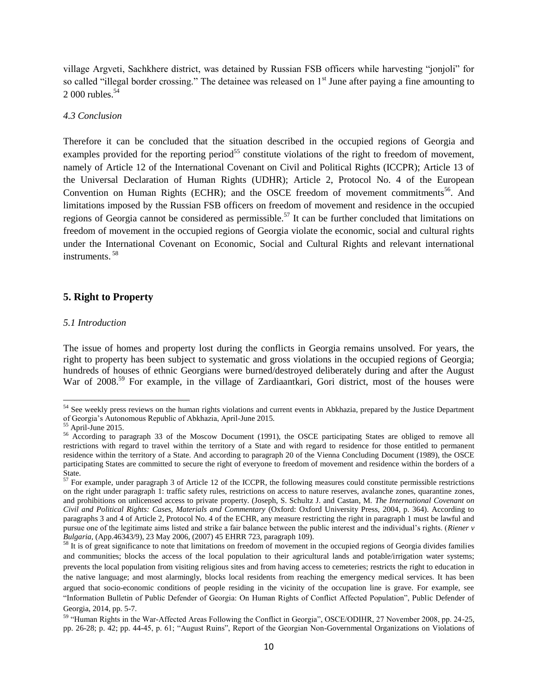village Argveti, Sachkhere district, was detained by Russian FSB officers while harvesting "jonjoli" for so called "illegal border crossing." The detainee was released on 1<sup>st</sup> June after paying a fine amounting to  $2,000$  rubles.<sup>54</sup>

#### *4.3 Conclusion*

Therefore it can be concluded that the situation described in the occupied regions of Georgia and examples provided for the reporting period<sup>55</sup> constitute violations of the right to freedom of movement, namely of Article 12 of the International Covenant on Civil and Political Rights (ICCPR); Article 13 of the Universal Declaration of Human Rights (UDHR); Article 2, Protocol No. 4 of the European Convention on Human Rights (ECHR); and the OSCE freedom of movement commitments<sup>56</sup>. And limitations imposed by the Russian FSB officers on freedom of movement and residence in the occupied regions of Georgia cannot be considered as permissible.<sup>57</sup> It can be further concluded that limitations on freedom of movement in the occupied regions of Georgia violate the economic, social and cultural rights under the International Covenant on Economic, Social and Cultural Rights and relevant international instruments. <sup>58</sup>

# **5. Right to Property**

#### *5.1 Introduction*

The issue of homes and property lost during the conflicts in Georgia remains unsolved. For years, the right to property has been subject to systematic and gross violations in the occupied regions of Georgia; hundreds of houses of ethnic Georgians were burned/destroyed deliberately during and after the August War of 2008.<sup>59</sup> For example, in the village of Zardiaantkari, Gori district, most of the houses were

 $\overline{a}$ 

<sup>&</sup>lt;sup>54</sup> See weekly press reviews on the human rights violations and current events in Abkhazia, prepared by the Justice Department of Georgia's Autonomous Republic of Abkhazia, April-June 2015.

<sup>55</sup> April-June 2015.

<sup>&</sup>lt;sup>56</sup> According to paragraph 33 of the Moscow Document (1991), the OSCE participating States are obliged to remove all restrictions with regard to travel within the territory of a State and with regard to residence for those entitled to permanent residence within the territory of a State. And according to paragraph 20 of the Vienna Concluding Document (1989), the OSCE participating States are committed to secure the right of everyone to freedom of movement and residence within the borders of a State.

 $57$  For example, under paragraph 3 of Article 12 of the ICCPR, the following measures could constitute permissible restrictions on the right under paragraph 1: traffic safety rules, restrictions on access to nature reserves, avalanche zones, quarantine zones, and prohibitions on unlicensed access to private property. (Joseph, S. Schultz J. and Castan, M. *The International Covenant on Civil and Political Rights: Cases, Materials and Commentary* (Oxford: Oxford University Press, 2004, p. 364). According to paragraphs 3 and 4 of Article 2, Protocol No. 4 of the ECHR, any measure restricting the right in paragraph 1 must be lawful and pursue one of the legitimate aims listed and strike a fair balance between the public interest and the individual's rights. (*Riener v Bulgaria,* (App.46343/9), 23 May 2006, (2007) 45 EHRR 723, paragraph 109).

 $58$  It is of great significance to note that limitations on freedom of movement in the occupied regions of Georgia divides families and communities; blocks the access of the local population to their agricultural lands and potable/irrigation water systems; prevents the local population from visiting religious sites and from having access to cemeteries; restricts the right to education in the native language; and most alarmingly, blocks local residents from reaching the emergency medical services. It has been argued that socio-economic conditions of people residing in the vicinity of the occupation line is grave. For example, see "Information Bulletin of Public Defender of Georgia: On Human Rights of Conflict Affected Population", Public Defender of Georgia, 2014, pp. 5-7.

<sup>59</sup> "Human Rights in the War-Affected Areas Following the Conflict in Georgia", OSCE/ODIHR, 27 November 2008, pp. 24-25, pp. 26-28; p. 42; pp. 44-45, p. 61; "August Ruins", Report of the Georgian Non-Governmental Organizations on Violations of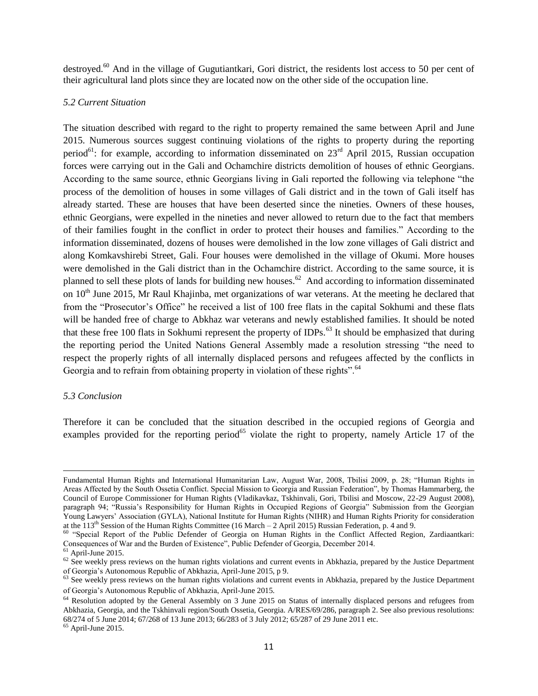destroyed.<sup>60</sup> And in the village of Gugutiantkari, Gori district, the residents lost access to 50 per cent of their agricultural land plots since they are located now on the other side of the occupation line.

## *5.2 Current Situation*

The situation described with regard to the right to property remained the same between April and June 2015. Numerous sources suggest continuing violations of the rights to property during the reporting period<sup>61</sup>: for example, according to information disseminated on  $23<sup>rd</sup>$  April 2015, Russian occupation forces were carrying out in the Gali and Ochamchire districts demolition of houses of ethnic Georgians. According to the same source, ethnic Georgians living in Gali reported the following via telephone "the process of the demolition of houses in some villages of Gali district and in the town of Gali itself has already started. These are houses that have been deserted since the nineties. Owners of these houses, ethnic Georgians, were expelled in the nineties and never allowed to return due to the fact that members of their families fought in the conflict in order to protect their houses and families." According to the information disseminated, dozens of houses were demolished in the low zone villages of Gali district and along Komkavshirebi Street, Gali. Four houses were demolished in the village of Okumi. More houses were demolished in the Gali district than in the Ochamchire district. According to the same source, it is planned to sell these plots of lands for building new houses.<sup>62</sup> And according to information disseminated on 10<sup>th</sup> June 2015, Mr Raul Khajinba, met organizations of war veterans. At the meeting he declared that from the "Prosecutor's Office" he received a list of 100 free flats in the capital Sokhumi and these flats will be handed free of charge to Abkhaz war veterans and newly established families. It should be noted that these free 100 flats in Sokhumi represent the property of IDPs.<sup>63</sup> It should be emphasized that during the reporting period the United Nations General Assembly made a resolution stressing "the need to respect the properly rights of all internally displaced persons and refugees affected by the conflicts in Georgia and to refrain from obtaining property in violation of these rights".<sup>64</sup>

#### *5.3 Conclusion*

Therefore it can be concluded that the situation described in the occupied regions of Georgia and examples provided for the reporting period<sup>65</sup> violate the right to property, namely Article 17 of the

 $\overline{\phantom{a}}$ Fundamental Human Rights and International Humanitarian Law, August War, 2008, Tbilisi 2009, p. 28; "Human Rights in Areas Affected by the South Ossetia Conflict. Special Mission to Georgia and Russian Federation", by Thomas Hammarberg, the Council of Europe Commissioner for Human Rights (Vladikavkaz, Tskhinvali, Gori, Tbilisi and Moscow, 22-29 August 2008), paragraph 94; "Russia's Responsibility for Human Rights in Occupied Regions of Georgia" Submission from the Georgian Young Lawyers' Association (GYLA), National Institute for Human Rights (NIHR) and Human Rights Priority for consideration at the 113<sup>th</sup> Session of the Human Rights Committee (16 March – 2 April 2015) Russian Federation, p. 4 and 9.

<sup>&</sup>lt;sup>60</sup> "Special Report of the Public Defender of Georgia on Human Rights in the Conflict Affected Region, Zardiaantkari: Consequences of War and the Burden of Existence", Public Defender of Georgia, December 2014.

 $61$  April-June 2015.

 $62$  See weekly press reviews on the human rights violations and current events in Abkhazia, prepared by the Justice Department of Georgia's Autonomous Republic of Abkhazia, April-June 2015, p 9.

<sup>&</sup>lt;sup>63</sup> See weekly press reviews on the human rights violations and current events in Abkhazia, prepared by the Justice Department of Georgia's Autonomous Republic of Abkhazia, April-June 2015.

 $64$  Resolution adopted by the General Assembly on 3 June 2015 on Status of internally displaced persons and refugees from Abkhazia, Georgia, and the Tskhinvali region/South Ossetia, Georgia. A/RES/69/286, paragraph 2. See also previous resolutions: 68/274 of 5 June 2014; 67/268 of 13 June 2013; 66/283 of 3 July 2012; 65/287 of 29 June 2011 etc.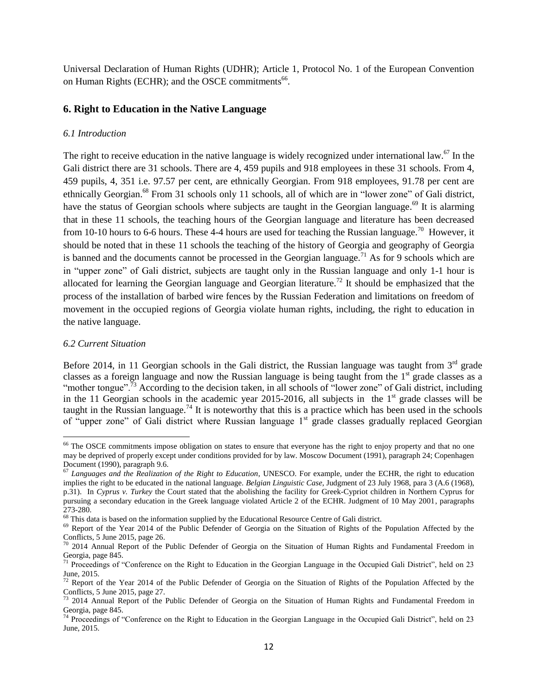Universal Declaration of Human Rights (UDHR); Article 1, Protocol No. 1 of the European Convention on Human Rights (ECHR); and the OSCE commitments<sup>66</sup>.

# **6. Right to Education in the Native Language**

# *6.1 Introduction*

The right to receive education in the native language is widely recognized under international law.<sup>67</sup> In the Gali district there are 31 schools. There are 4, 459 pupils and 918 employees in these 31 schools. From 4, 459 pupils, 4, 351 i.e. 97.57 per cent, are ethnically Georgian. From 918 employees, 91.78 per cent are ethnically Georgian.<sup>68</sup> From 31 schools only 11 schools, all of which are in "lower zone" of Gali district, have the status of Georgian schools where subjects are taught in the Georgian language.<sup>69</sup> It is alarming that in these 11 schools, the teaching hours of the Georgian language and literature has been decreased from 10-10 hours to 6-6 hours. These 4-4 hours are used for teaching the Russian language.<sup>70</sup> However, it should be noted that in these 11 schools the teaching of the history of Georgia and geography of Georgia is banned and the documents cannot be processed in the Georgian language.<sup>71</sup> As for 9 schools which are in "upper zone" of Gali district, subjects are taught only in the Russian language and only 1-1 hour is allocated for learning the Georgian language and Georgian literature.<sup>72</sup> It should be emphasized that the process of the installation of barbed wire fences by the Russian Federation and limitations on freedom of movement in the occupied regions of Georgia violate human rights, including, the right to education in the native language.

# *6.2 Current Situation*

 $\overline{\phantom{a}}$ 

Before 2014, in 11 Georgian schools in the Gali district, the Russian language was taught from  $3<sup>rd</sup>$  grade classes as a foreign language and now the Russian language is being taught from the  $1<sup>st</sup>$  grade classes as a "mother tongue".<sup>73</sup> According to the decision taken, in all schools of "lower zone" of Gali district, including in the 11 Georgian schools in the academic year 2015-2016, all subjects in the  $1<sup>st</sup>$  grade classes will be taught in the Russian language.<sup>74</sup> It is noteworthy that this is a practice which has been used in the schools of "upper zone" of Gali district where Russian language 1<sup>st</sup> grade classes gradually replaced Georgian

<sup>&</sup>lt;sup>66</sup> The OSCE commitments impose obligation on states to ensure that everyone has the right to enjoy property and that no one may be deprived of properly except under conditions provided for by law. Moscow Document (1991), paragraph 24; Copenhagen Document (1990), paragraph 9.6.

<sup>67</sup> *Languages and the Realization of the Right to Education*, UNESCO. For example, under the ECHR, the right to education implies the right to be educated in the national language. *Belgian Linguistic Case*, Judgment of 23 July 1968, para 3 (A.6 (1968), p.31). In *Cyprus v. Turkey* the Court stated that the abolishing the facility for Greek-Cypriot children in Northern Cyprus for pursuing a secondary education in the Greek language violated Article 2 of the ECHR. Judgment of 10 May 2001, paragraphs 273-280.

<sup>&</sup>lt;sup>68</sup> This data is based on the information supplied by the Educational Resource Centre of Gali district.

<sup>&</sup>lt;sup>69</sup> Report of the Year 2014 of the Public Defender of Georgia on the Situation of Rights of the Population Affected by the Conflicts, 5 June 2015, page 26.

<sup>&</sup>lt;sup>70</sup> 2014 Annual Report of the Public Defender of Georgia on the Situation of Human Rights and Fundamental Freedom in Georgia, page 845.

<sup>&</sup>lt;sup>71</sup> Proceedings of "Conference on the Right to Education in the Georgian Language in the Occupied Gali District", held on 23 June, 2015.

 $72$  Report of the Year 2014 of the Public Defender of Georgia on the Situation of Rights of the Population Affected by the Conflicts, 5 June 2015, page 27.

 $73$  2014 Annual Report of the Public Defender of Georgia on the Situation of Human Rights and Fundamental Freedom in Georgia, page 845.

 $74$  Proceedings of "Conference on the Right to Education in the Georgian Language in the Occupied Gali District", held on 23 June, 2015.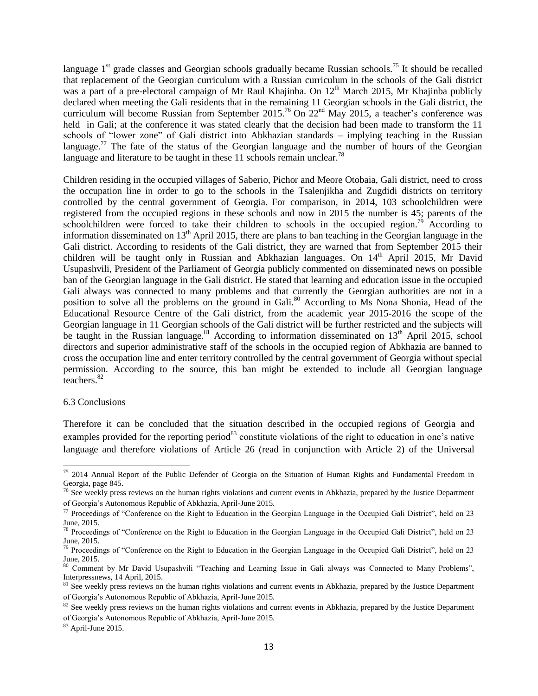language  $1<sup>st</sup>$  grade classes and Georgian schools gradually became Russian schools.<sup>75</sup> It should be recalled that replacement of the Georgian curriculum with a Russian curriculum in the schools of the Gali district was a part of a pre-electoral campaign of Mr Raul Khajinba. On  $12<sup>th</sup>$  March 2015, Mr Khajinba publicly declared when meeting the Gali residents that in the remaining 11 Georgian schools in the Gali district, the curriculum will become Russian from September 2015.<sup>76</sup> On 22<sup>nd</sup> May 2015, a teacher's conference was held in Gali; at the conference it was stated clearly that the decision had been made to transform the 11 schools of "lower zone" of Gali district into Abkhazian standards – implying teaching in the Russian language.<sup>77</sup> The fate of the status of the Georgian language and the number of hours of the Georgian language and literature to be taught in these 11 schools remain unclear.<sup>78</sup>

Children residing in the occupied villages of Saberio, Pichor and Meore Otobaia, Gali district, need to cross the occupation line in order to go to the schools in the Tsalenjikha and Zugdidi districts on territory controlled by the central government of Georgia. For comparison, in 2014, 103 schoolchildren were registered from the occupied regions in these schools and now in 2015 the number is 45; parents of the schoolchildren were forced to take their children to schools in the occupied region.<sup>79</sup> According to information disseminated on  $13<sup>th</sup>$  April 2015, there are plans to ban teaching in the Georgian language in the Gali district. According to residents of the Gali district, they are warned that from September 2015 their children will be taught only in Russian and Abkhazian languages. On 14<sup>th</sup> April 2015, Mr David Usupashvili, President of the Parliament of Georgia publicly commented on disseminated news on possible ban of the Georgian language in the Gali district. He stated that learning and education issue in the occupied Gali always was connected to many problems and that currently the Georgian authorities are not in a position to solve all the problems on the ground in Gali.<sup>80</sup> According to Ms Nona Shonia, Head of the Educational Resource Centre of the Gali district, from the academic year 2015-2016 the scope of the Georgian language in 11 Georgian schools of the Gali district will be further restricted and the subjects will be taught in the Russian language.<sup>81</sup> According to information disseminated on 13<sup>th</sup> April 2015, school directors and superior administrative staff of the schools in the occupied region of Abkhazia are banned to cross the occupation line and enter territory controlled by the central government of Georgia without special permission. According to the source, this ban might be extended to include all Georgian language teachers.<sup>82</sup>

#### 6.3 Conclusions

 $\overline{a}$ 

Therefore it can be concluded that the situation described in the occupied regions of Georgia and examples provided for the reporting period<sup>83</sup> constitute violations of the right to education in one's native language and therefore violations of Article 26 (read in conjunction with Article 2) of the Universal

 $75$  2014 Annual Report of the Public Defender of Georgia on the Situation of Human Rights and Fundamental Freedom in Georgia, page 845.

<sup>&</sup>lt;sup>6</sup> See weekly press reviews on the human rights violations and current events in Abkhazia, prepared by the Justice Department of Georgia's Autonomous Republic of Abkhazia, April-June 2015.

 $77$  Proceedings of "Conference on the Right to Education in the Georgian Language in the Occupied Gali District", held on 23 June, 2015.

 $78$  Proceedings of "Conference on the Right to Education in the Georgian Language in the Occupied Gali District", held on 23 June, 2015.

<sup>&</sup>lt;sup>79</sup> Proceedings of "Conference on the Right to Education in the Georgian Language in the Occupied Gali District", held on 23 June, 2015.

<sup>&</sup>lt;sup>80</sup> Comment by Mr David Usupashvili "Teaching and Learning Issue in Gali always was Connected to Many Problems", Interpressnews, 14 April, 2015.

<sup>&</sup>lt;sup>81</sup> See weekly press reviews on the human rights violations and current events in Abkhazia, prepared by the Justice Department of Georgia's Autonomous Republic of Abkhazia, April-June 2015.

 $82$  See weekly press reviews on the human rights violations and current events in Abkhazia, prepared by the Justice Department of Georgia's Autonomous Republic of Abkhazia, April-June 2015.

<sup>83</sup> April-June 2015.